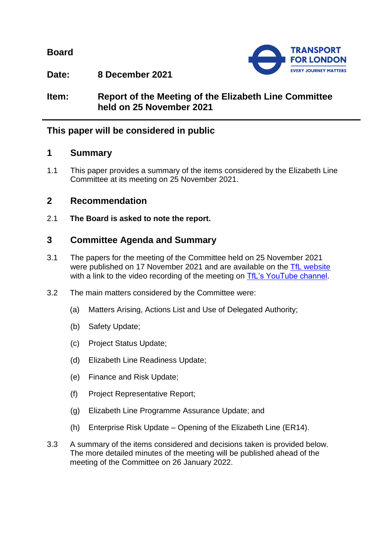**Board**



**Date: 8 December 2021**

**Item: Report of the Meeting of the Elizabeth Line Committee held on 25 November 2021**

# **This paper will be considered in public**

## **1 Summary**

1.1 This paper provides a summary of the items considered by the Elizabeth Line Committee at its meeting on 25 November 2021.

## **2 Recommendation**

2.1 **The Board is asked to note the report.**

# **3 Committee Agenda and Summary**

- 3.1 The papers for the meeting of the Committee held on 25 November 2021 were published on 17 November 2021 and are available on the [TfL website](https://board.tfl.gov.uk/uuCoverPage.aspx?bcr=1) with a link to the video recording of the meeting on [TfL's YouTube channel.](https://www.youtube.com/playlist?list=PLtnlusA0Zoggk4qvN68OcnD9k_7B8cY_d)
- 3.2 The main matters considered by the Committee were:
	- (a) Matters Arising, Actions List and Use of Delegated Authority;
	- (b) Safety Update;
	- (c) Project Status Update;
	- (d) Elizabeth Line Readiness Update;
	- (e) Finance and Risk Update;
	- (f) Project Representative Report;
	- (g) Elizabeth Line Programme Assurance Update; and
	- (h) Enterprise Risk Update Opening of the Elizabeth Line (ER14).
- 3.3 A summary of the items considered and decisions taken is provided below. The more detailed minutes of the meeting will be published ahead of the meeting of the Committee on 26 January 2022.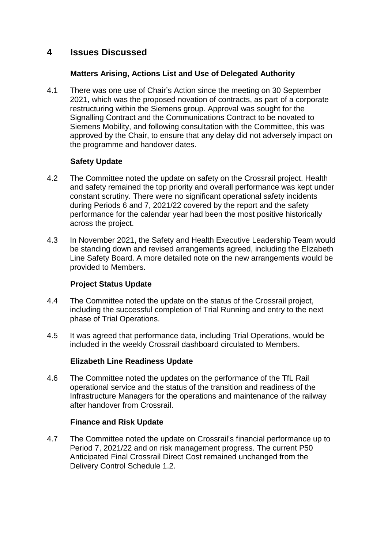## **4 Issues Discussed**

## **Matters Arising, Actions List and Use of Delegated Authority**

4.1 There was one use of Chair's Action since the meeting on 30 September 2021, which was the proposed novation of contracts, as part of a corporate restructuring within the Siemens group. Approval was sought for the Signalling Contract and the Communications Contract to be novated to Siemens Mobility, and following consultation with the Committee, this was approved by the Chair, to ensure that any delay did not adversely impact on the programme and handover dates.

### **Safety Update**

- 4.2 The Committee noted the update on safety on the Crossrail project. Health and safety remained the top priority and overall performance was kept under constant scrutiny. There were no significant operational safety incidents during Periods 6 and 7, 2021/22 covered by the report and the safety performance for the calendar year had been the most positive historically across the project.
- 4.3 In November 2021, the Safety and Health Executive Leadership Team would be standing down and revised arrangements agreed, including the Elizabeth Line Safety Board. A more detailed note on the new arrangements would be provided to Members.

## **Project Status Update**

- 4.4 The Committee noted the update on the status of the Crossrail project, including the successful completion of Trial Running and entry to the next phase of Trial Operations.
- 4.5 It was agreed that performance data, including Trial Operations, would be included in the weekly Crossrail dashboard circulated to Members.

#### **Elizabeth Line Readiness Update**

4.6 The Committee noted the updates on the performance of the TfL Rail operational service and the status of the transition and readiness of the Infrastructure Managers for the operations and maintenance of the railway after handover from Crossrail.

#### **Finance and Risk Update**

4.7 The Committee noted the update on Crossrail's financial performance up to Period 7, 2021/22 and on risk management progress. The current P50 Anticipated Final Crossrail Direct Cost remained unchanged from the Delivery Control Schedule 1.2.